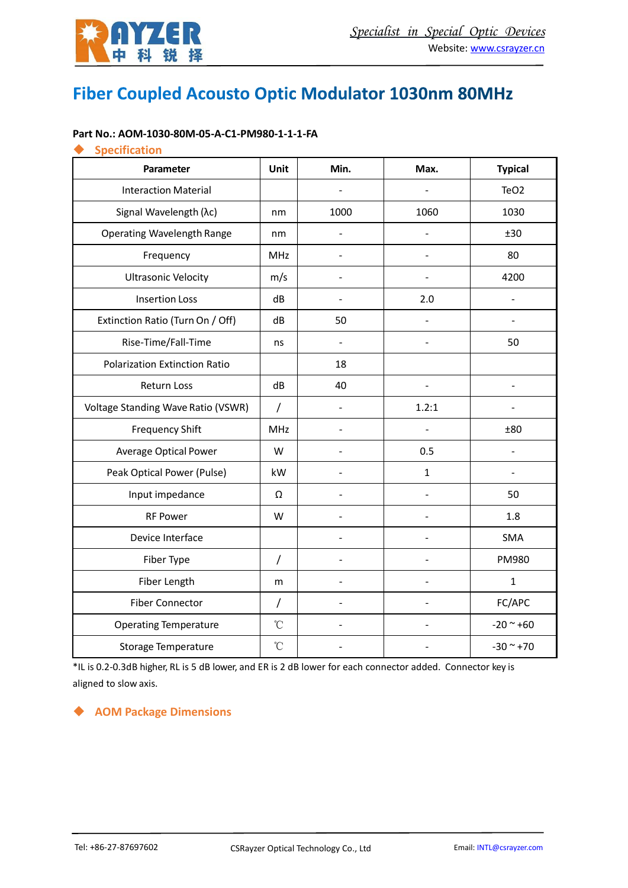

# Fiber Coupled Acousto Optic Modulator 1030nm 80MHz

#### **Part No.: AOM-1030-80M-05-A-C1-PM980-1-1-1-FA**

#### ◆ **Specification**

| Parameter                            | Unit            | Min.           | Max.           | <b>Typical</b>   |
|--------------------------------------|-----------------|----------------|----------------|------------------|
| <b>Interaction Material</b>          |                 |                |                | TeO <sub>2</sub> |
| Signal Wavelength (λc)               | nm              | 1000           | 1060           | 1030             |
| <b>Operating Wavelength Range</b>    | nm              |                |                | ±30              |
| Frequency                            | <b>MHz</b>      | L.             | $\overline{a}$ | 80               |
| <b>Ultrasonic Velocity</b>           | m/s             |                |                | 4200             |
| <b>Insertion Loss</b>                | dB              |                | 2.0            |                  |
| Extinction Ratio (Turn On / Off)     | dB              | 50             | $\blacksquare$ |                  |
| Rise-Time/Fall-Time                  | ns              | $\overline{a}$ |                | 50               |
| <b>Polarization Extinction Ratio</b> |                 | 18             |                |                  |
| Return Loss                          | dB              | 40             | $\blacksquare$ |                  |
| Voltage Standing Wave Ratio (VSWR)   | $\prime$        |                | 1.2:1          |                  |
| <b>Frequency Shift</b>               | <b>MHz</b>      |                |                | ±80              |
| <b>Average Optical Power</b>         | W               |                | 0.5            |                  |
| Peak Optical Power (Pulse)           | kW              |                | $\mathbf{1}$   |                  |
| Input impedance                      | Ω               |                |                | 50               |
| <b>RF Power</b>                      | W               |                |                | 1.8              |
| Device Interface                     |                 |                |                | SMA              |
| Fiber Type                           | $\sqrt{2}$      |                |                | PM980            |
| Fiber Length                         | m               |                |                | $\mathbf{1}$     |
| <b>Fiber Connector</b>               | $\prime$        |                |                | FC/APC           |
| <b>Operating Temperature</b>         | $\rm ^{\circ}C$ |                |                | $-20 - +60$      |
| <b>Storage Temperature</b>           | $\rm ^{\circ}C$ |                |                | $-30$ ~ $+70$    |

\*IL is 0.2-0.3dB higher, RL is 5 dB lower, and ER is 2 dB lower for each connector added. Connector key is aligned to slow axis.

#### ◆ **AOM Package Dimensions**